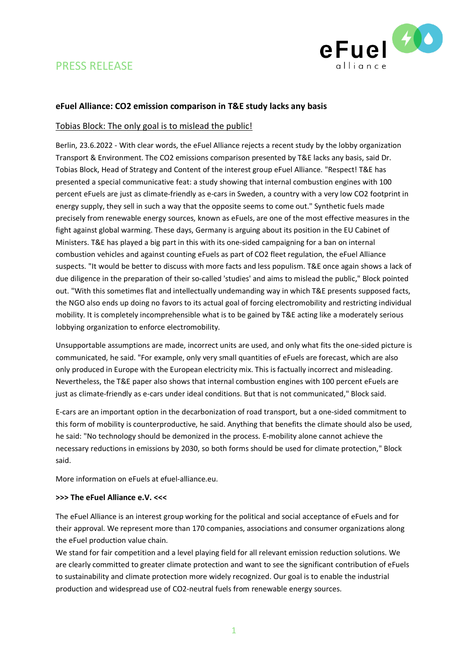

# PRESS RELEASE

## **eFuel Alliance: CO2 emission comparison in T&E study lacks any basis**

### Tobias Block: The only goal is to mislead the public!

Berlin, 23.6.2022 - With clear words, the eFuel Alliance rejects a recent study by the lobby organization Transport & Environment. The CO2 emissions comparison presented by T&E lacks any basis, said Dr. Tobias Block, Head of Strategy and Content of the interest group eFuel Alliance. "Respect! T&E has presented a special communicative feat: a study showing that internal combustion engines with 100 percent eFuels are just as climate-friendly as e-cars in Sweden, a country with a very low CO2 footprint in energy supply, they sell in such a way that the opposite seems to come out." Synthetic fuels made precisely from renewable energy sources, known as eFuels, are one of the most effective measures in the fight against global warming. These days, Germany is arguing about its position in the EU Cabinet of Ministers. T&E has played a big part in this with its one-sided campaigning for a ban on internal combustion vehicles and against counting eFuels as part of CO2 fleet regulation, the eFuel Alliance suspects. "It would be better to discuss with more facts and less populism. T&E once again shows a lack of due diligence in the preparation of their so-called 'studies' and aims to mislead the public," Block pointed out. "With this sometimes flat and intellectually undemanding way in which T&E presents supposed facts, the NGO also ends up doing no favors to its actual goal of forcing electromobility and restricting individual mobility. It is completely incomprehensible what is to be gained by T&E acting like a moderately serious lobbying organization to enforce electromobility.

Unsupportable assumptions are made, incorrect units are used, and only what fits the one-sided picture is communicated, he said. "For example, only very small quantities of eFuels are forecast, which are also only produced in Europe with the European electricity mix. This is factually incorrect and misleading. Nevertheless, the T&E paper also shows that internal combustion engines with 100 percent eFuels are just as climate-friendly as e-cars under ideal conditions. But that is not communicated," Block said.

E-cars are an important option in the decarbonization of road transport, but a one-sided commitment to this form of mobility is counterproductive, he said. Anything that benefits the climate should also be used, he said: "No technology should be demonized in the process. E-mobility alone cannot achieve the necessary reductions in emissions by 2030, so both forms should be used for climate protection," Block said.

More information on eFuels at efuel-alliance.eu.

#### **>>> The eFuel Alliance e.V. <<<**

The eFuel Alliance is an interest group working for the political and social acceptance of eFuels and for their approval. We represent more than 170 companies, associations and consumer organizations along the eFuel production value chain.

We stand for fair competition and a level playing field for all relevant emission reduction solutions. We are clearly committed to greater climate protection and want to see the significant contribution of eFuels to sustainability and climate protection more widely recognized. Our goal is to enable the industrial production and widespread use of CO2-neutral fuels from renewable energy sources.